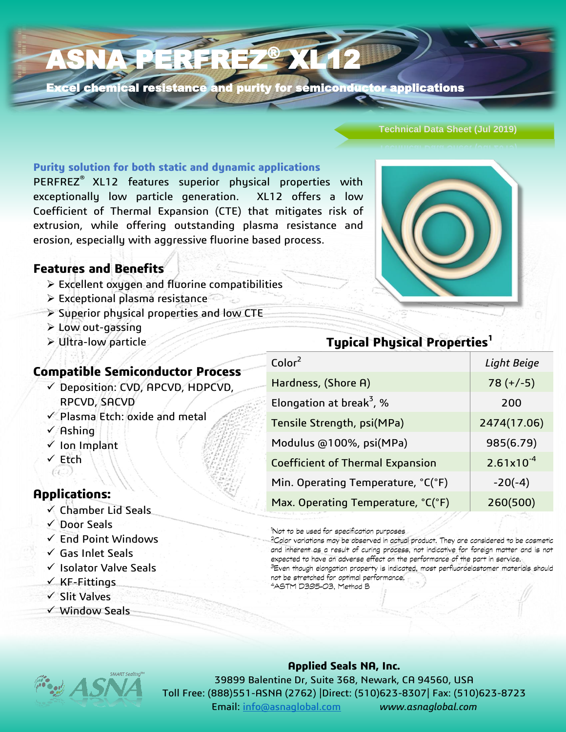Excel chemical resistance and purity for semiconductor applications

**XL12** 

### **Technical Data Sheet (Jul 2019)**

### **Purity solution for both static and dynamic applications**

ASNA PERFREZ®

PERFREZ® XL12 features superior physical properties with exceptionally low particle generation. XL12 offers a low Coefficient of Thermal Expansion (CTE) that mitigates risk of extrusion, while offering outstanding plasma resistance and erosion, especially with aggressive fluorine based process.

### **Features and Benefits**

- Excellent oxygen and fluorine compatibilities
- $\triangleright$  Exceptional plasma resistance
- Superior physical properties and low CTE
- Low out-gassing
- Ultra-low particle

### **Compatible Semiconductor Process**

- $\checkmark$  Deposition: CVD, APCVD, HDPCVD, RPCVD, SACVD
- $\checkmark$  Plasma Etch: oxide and metal
- $\sqrt{A}$ shing
- $\checkmark$  Ion Implant
- √ Etch  $(\epsilon)$

### **Applications:**

- $\checkmark$  Chamber Lid Seals
- Door Seals
- $\checkmark$  End Point Windows
- $\checkmark$  Gas Inlet Seals
- $\checkmark$  Isolator Valve Seals
- $\times$  KF-Fittings
- $\checkmark$  Slit Valves
- $\checkmark$  Window Seals

# **Typical Physical Properties<sup>1</sup>**

| Color <sup>2</sup>                      | Light Beige    |
|-----------------------------------------|----------------|
| Hardness, (Shore A)                     | $78 (+/-5)$    |
| Elongation at break <sup>3</sup> , %    | 200            |
| Tensile Strength, psi(MPa)              | 2474(17.06)    |
| Modulus @100%, psi(MPa)                 | 985(6.79)      |
| <b>Coefficient of Thermal Expansion</b> | $2.61x10^{-4}$ |
| Min. Operating Temperature, °C(°F)      | $-20(-4)$      |
| Max. Operating Temperature, °C(°F)      | 260(500)       |
|                                         |                |

'Not to be used for specification purposes

<sup>2</sup>Color variations may be observed in actual product. They are considered to be cosmetic and inherent as a result of curing process, not indicative for foreign matter and is not expected to have an adverse effect on the performance of the part in service.

<sup>3</sup>Even though elongation property is indicated, most perfluoroelastomer materials should not be stretched for optimal performance. 4ASTM D395-03, Method B

### **Applied Seals NA, Inc.**

39899 Balentine Dr, Suite 368, Newark, CA 94560, USA Toll Free: (888)551-ASNA (2762) |Direct: (510)623-8307| Fax: (510)623-8723 Email: [info@asnaglobal.com](mailto:info@asnaglobal.com) *www.asnaglobal.com*